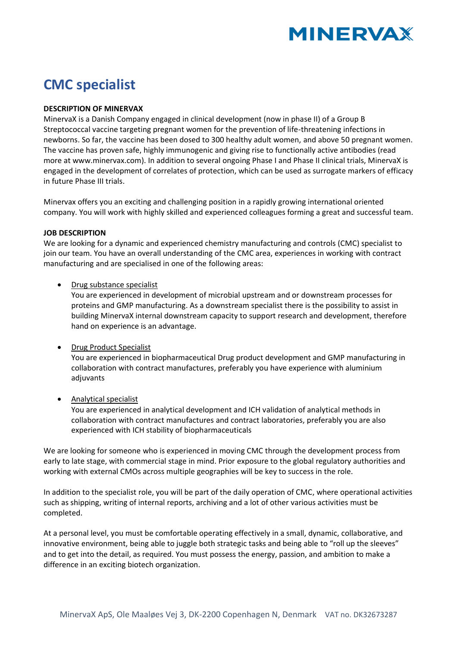

# **CMC specialist**

## **DESCRIPTION OF MINERVAX**

MinervaX is a Danish Company engaged in clinical development (now in phase II) of a Group B Streptococcal vaccine targeting pregnant women for the prevention of life-threatening infections in newborns. So far, the vaccine has been dosed to 300 healthy adult women, and above 50 pregnant women. The vaccine has proven safe, highly immunogenic and giving rise to functionally active antibodies (read more at www.minervax.com). In addition to several ongoing Phase I and Phase II clinical trials, MinervaX is engaged in the development of correlates of protection, which can be used as surrogate markers of efficacy in future Phase III trials.

Minervax offers you an exciting and challenging position in a rapidly growing international oriented company. You will work with highly skilled and experienced colleagues forming a great and successful team.

## **JOB DESCRIPTION**

We are looking for a dynamic and experienced chemistry manufacturing and controls (CMC) specialist to join our team. You have an overall understanding of the CMC area, experiences in working with contract manufacturing and are specialised in one of the following areas:

## • Drug substance specialist

You are experienced in development of microbial upstream and or downstream processes for proteins and GMP manufacturing. As a downstream specialist there is the possibility to assist in building MinervaX internal downstream capacity to support research and development, therefore hand on experience is an advantage.

## • Drug Product Specialist

You are experienced in biopharmaceutical Drug product development and GMP manufacturing in collaboration with contract manufactures, preferably you have experience with aluminium adjuvants

## • Analytical specialist

You are experienced in analytical development and ICH validation of analytical methods in collaboration with contract manufactures and contract laboratories, preferably you are also experienced with ICH stability of biopharmaceuticals

We are looking for someone who is experienced in moving CMC through the development process from early to late stage, with commercial stage in mind. Prior exposure to the global regulatory authorities and working with external CMOs across multiple geographies will be key to success in the role.

In addition to the specialist role, you will be part of the daily operation of CMC, where operational activities such as shipping, writing of internal reports, archiving and a lot of other various activities must be completed.

At a personal level, you must be comfortable operating effectively in a small, dynamic, collaborative, and innovative environment, being able to juggle both strategic tasks and being able to "roll up the sleeves" and to get into the detail, as required. You must possess the energy, passion, and ambition to make a difference in an exciting biotech organization.